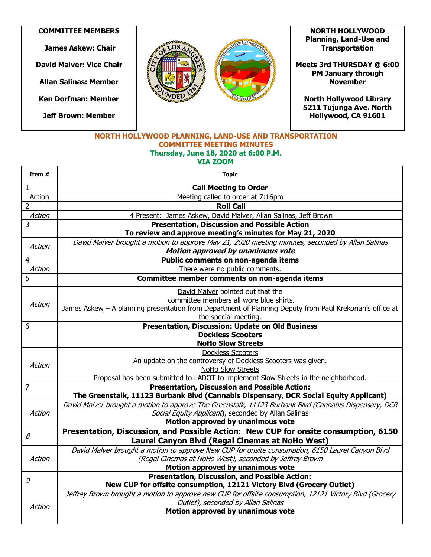**COMMITTEE MEMBERS**

**James Askew: Chair**

**David Malver: Vice Chair**

**Allan Salinas: Member**

**Ken Dorfman: Member**

**Jeff Brown: Member**



**NORTH HOLLYWOOD Planning, Land-Use and Transportation** 

**Meets 3rd THURSDAY @ 6:00 PM January through November** 

**North Hollywood Library 5211 Tujunga Ave. North Hollywood, CA 91601** 

## **NORTH HOLLYWOOD PLANNING, LAND-USE AND TRANSPORTATION COMMITTEE MEETING MINUTES Thursday, June 18, 2020 at 6:00 P.M. VIA ZOOM**

| Item #         | <u>Topic</u>                                                                                             |
|----------------|----------------------------------------------------------------------------------------------------------|
| 1              | <b>Call Meeting to Order</b>                                                                             |
| Action         | Meeting called to order at 7:16pm                                                                        |
| 2              | <b>Roll Call</b>                                                                                         |
| Action         | 4 Present: James Askew, David Malver, Allan Salinas, Jeff Brown                                          |
| 3              | <b>Presentation, Discussion and Possible Action</b>                                                      |
|                | To review and approve meeting's minutes for May 21, 2020                                                 |
| Action         | David Malver brought a motion to approve May 21, 2020 meeting minutes, seconded by Allan Salinas         |
|                | Motion approved by unanimous vote                                                                        |
| 4              | Public comments on non-agenda items                                                                      |
| Action         | There were no public comments.                                                                           |
| 5              | Committee member comments on non-agenda items                                                            |
|                | David Malver pointed out that the                                                                        |
| Action         | committee members all wore blue shirts.                                                                  |
|                | James Askew - A planning presentation from Department of Planning Deputy from Paul Krekorian's office at |
|                | the special meeting.                                                                                     |
| 6              | <b>Presentation, Discussion: Update on Old Business</b>                                                  |
|                | <b>Dockless Scooters</b>                                                                                 |
|                | <b>NoHo Slow Streets</b>                                                                                 |
|                | <b>Dockless Scooters</b>                                                                                 |
| Action         | An update on the controversy of Dockless Scooters was given.<br>NoHo Slow Streets                        |
|                | Proposal has been submitted to LADOT to implement Slow Streets in the neighborhood.                      |
| $\overline{7}$ | <b>Presentation, Discussion and Possible Action:</b>                                                     |
|                | The Greenstalk, 11123 Burbank Blvd (Cannabis Dispensary, DCR Social Equity Applicant)                    |
|                | David Malver brought a motion to approve The Greenstalk, 11123 Burbank Blvd (Cannabis Dispensary, DCR    |
| Action         | Social Equity Applicant), seconded by Allan Salinas                                                      |
|                | Motion approved by unanimous vote                                                                        |
| 8              | Presentation, Discussion, and Possible Action: New CUP for onsite consumption, 6150                      |
|                | Laurel Canyon Blvd (Regal Cinemas at NoHo West)                                                          |
|                | David Malver brought a motion to approve New CUP for onsite consumption, 6150 Laurel Canyon Blvd         |
| Action         | (Regal Cinemas at NoHo West), seconded by Jeffrey Brown                                                  |
|                | Motion approved by unanimous vote                                                                        |
| 9              | <b>Presentation, Discussion, and Possible Action:</b>                                                    |
|                | New CUP for offsite consumption, 12121 Victory Blvd (Grocery Outlet)                                     |
|                | Jeffrey Brown brought a motion to approve new CUP for offsite consumption, 12121 Victory Blvd (Grocery   |
| Action         | Outlet), seconded by Allan Salinas                                                                       |
|                | Motion approved by unanimous vote                                                                        |
|                |                                                                                                          |